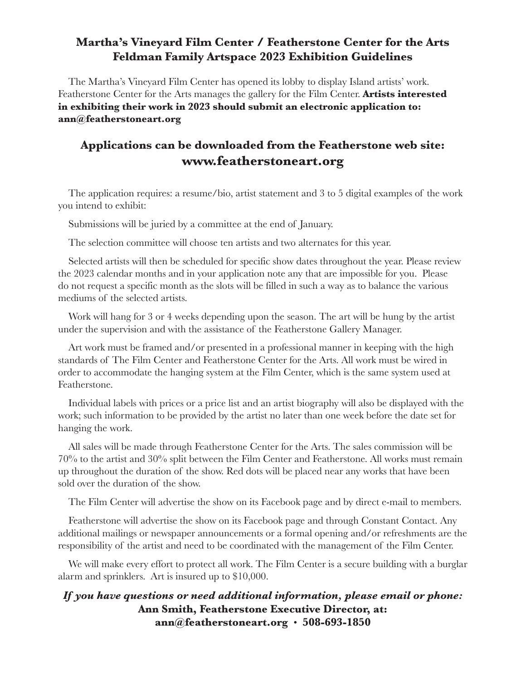### **Martha's Vineyard Film Center / Featherstone Center for the Arts Feldman Family Artspace 2023 Exhibition Guidelines**

The Martha's Vineyard Film Center has opened its lobby to display Island artists' work. Featherstone Center for the Arts manages the gallery for the Film Center. **Artists interested in exhibiting their work in 2023 should submit an electronic application to: ann@featherstoneart.org**

### **Applications can be downloaded from the Featherstone web site: www.featherstoneart.org**

The application requires: a resume/bio, artist statement and 3 to 5 digital examples of the work you intend to exhibit:

Submissions will be juried by a committee at the end of January.

The selection committee will choose ten artists and two alternates for this year.

Selected artists will then be scheduled for specific show dates throughout the year. Please review the 2023 calendar months and in your application note any that are impossible for you. Please do not request a specific month as the slots will be filled in such a way as to balance the various mediums of the selected artists.

Work will hang for 3 or 4 weeks depending upon the season. The art will be hung by the artist under the supervision and with the assistance of the Featherstone Gallery Manager.

Art work must be framed and/or presented in a professional manner in keeping with the high standards of The Film Center and Featherstone Center for the Arts. All work must be wired in order to accommodate the hanging system at the Film Center, which is the same system used at Featherstone.

Individual labels with prices or a price list and an artist biography will also be displayed with the work; such information to be provided by the artist no later than one week before the date set for hanging the work.

All sales will be made through Featherstone Center for the Arts. The sales commission will be 70% to the artist and 30% split between the Film Center and Featherstone. All works must remain up throughout the duration of the show. Red dots will be placed near any works that have been sold over the duration of the show.

The Film Center will advertise the show on its Facebook page and by direct e-mail to members.

Featherstone will advertise the show on its Facebook page and through Constant Contact. Any additional mailings or newspaper announcements or a formal opening and/or refreshments are the responsibility of the artist and need to be coordinated with the management of the Film Center.

We will make every effort to protect all work. The Film Center is a secure building with a burglar alarm and sprinklers. Art is insured up to \$10,000.

### *If you have questions or need additional information, please email or phone:*  **Ann Smith, Featherstone Executive Director, at: ann@featherstoneart.org** • **508-693-1850**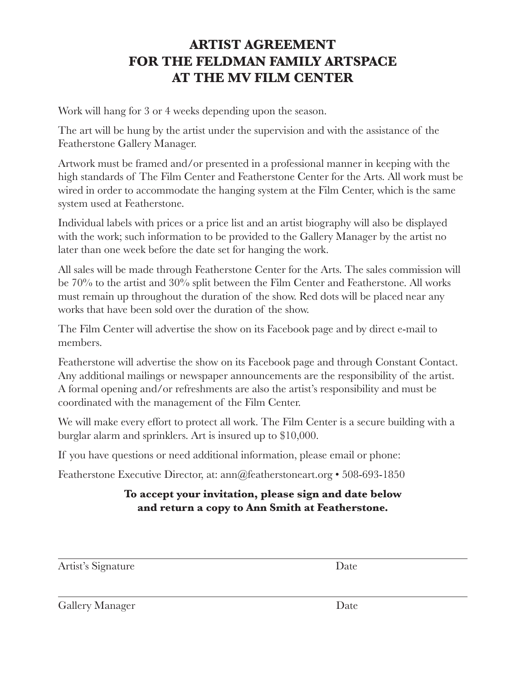## **ARTIST AGREEMENT FOR THE FELDMAN FAMILY ARTSPACE AT THE MV FILM CENTER**

Work will hang for 3 or 4 weeks depending upon the season.

The art will be hung by the artist under the supervision and with the assistance of the Featherstone Gallery Manager.

Artwork must be framed and/or presented in a professional manner in keeping with the high standards of The Film Center and Featherstone Center for the Arts. All work must be wired in order to accommodate the hanging system at the Film Center, which is the same system used at Featherstone.

Individual labels with prices or a price list and an artist biography will also be displayed with the work; such information to be provided to the Gallery Manager by the artist no later than one week before the date set for hanging the work.

All sales will be made through Featherstone Center for the Arts. The sales commission will be 70% to the artist and 30% split between the Film Center and Featherstone. All works must remain up throughout the duration of the show. Red dots will be placed near any works that have been sold over the duration of the show.

The Film Center will advertise the show on its Facebook page and by direct e-mail to members.

Featherstone will advertise the show on its Facebook page and through Constant Contact. Any additional mailings or newspaper announcements are the responsibility of the artist. A formal opening and/or refreshments are also the artist's responsibility and must be coordinated with the management of the Film Center.

We will make every effort to protect all work. The Film Center is a secure building with a burglar alarm and sprinklers. Art is insured up to \$10,000.

If you have questions or need additional information, please email or phone:

Featherstone Executive Director, at: ann@featherstoneart.org • 508-693-1850

### **To accept your invitation, please sign and date below and return a copy to Ann Smith at Featherstone.**

Artist's Signature Date

Gallery Manager Date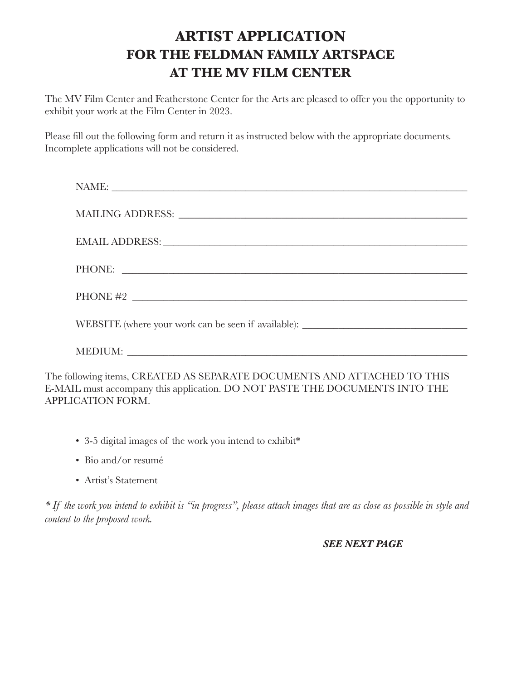# **ARTIST APPLICATION FOR THE FELDMAN FAMILY ARTSPACE AT THE MV FILM CENTER**

The MV Film Center and Featherstone Center for the Arts are pleased to offer you the opportunity to exhibit your work at the Film Center in 2023.

Please fill out the following form and return it as instructed below with the appropriate documents. Incomplete applications will not be considered.

| EMAIL ADDRESS: North and the second state of the second state of the second state of the second state of the second state of the second state of the second state of the second state of the second state of the second state |
|-------------------------------------------------------------------------------------------------------------------------------------------------------------------------------------------------------------------------------|
| PHONE:                                                                                                                                                                                                                        |
| PHONE #2 $\overline{\phantom{a}}$                                                                                                                                                                                             |
| WEBSITE (where your work can be seen if available): ____________________________                                                                                                                                              |
|                                                                                                                                                                                                                               |
| lowing items, CREATED AS SEPARATE DOCUMENTS AND ATTACHED TO THIS                                                                                                                                                              |

The following items, CREATED AS SEPARATE DOCUMENTS AND ATTACHED TO THIS E-MAIL must accompany this application. DO NOT PASTE THE DOCUMENTS INTO THE APPLICATION FORM.

- 3-5 digital images of the work you intend to exhibit\*
- Bio and/or resumé
- Artist's Statement

*\* If the work you intend to exhibit is "in progress", please attach images that are as close as possible in style and content to the proposed work.*

#### *SEE NEXT PAGE*